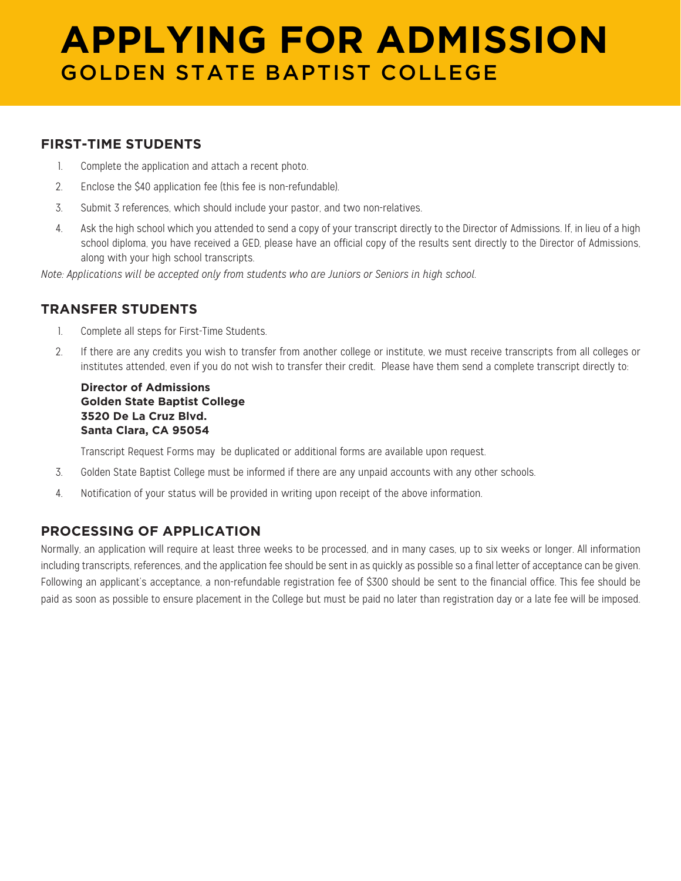# **APPLYING FOR ADMISSION** GOLDEN STATE BAPTIST COLLEGE

#### **FIRST-TIME STUDENTS**

- 1. Complete the application and attach a recent photo.
- 2. Enclose the \$40 application fee (this fee is non-refundable).
- 3. Submit 3 references, which should include your pastor, and two non-relatives.
- 4. Ask the high school which you attended to send a copy of your transcript directly to the Director of Admissions. If, in lieu of a high school diploma, you have received a GED, please have an official copy of the results sent directly to the Director of Admissions, along with your high school transcripts.

*Note: Applications will be accepted only from students who are Juniors or Seniors in high school.*

#### **TRANSFER STUDENTS**

- 1. Complete all steps for First-Time Students.
- 2. If there are any credits you wish to transfer from another college or institute, we must receive transcripts from all colleges or institutes attended, even if you do not wish to transfer their credit. Please have them send a complete transcript directly to:

#### **Director of Admissions Golden State Baptist College 3520 De La Cruz Blvd. Santa Clara, CA 95054**

Transcript Request Forms may be duplicated or additional forms are available upon request.

- 3. Golden State Baptist College must be informed if there are any unpaid accounts with any other schools.
- 4. Notification of your status will be provided in writing upon receipt of the above information.

### **PROCESSING OF APPLICATION**

Normally, an application will require at least three weeks to be processed, and in many cases, up to six weeks or longer. All information including transcripts, references, and the application fee should be sent in as quickly as possible so a final letter of acceptance can be given. Following an applicant's acceptance, a non-refundable registration fee of \$300 should be sent to the financial office. This fee should be paid as soon as possible to ensure placement in the College but must be paid no later than registration day or a late fee will be imposed.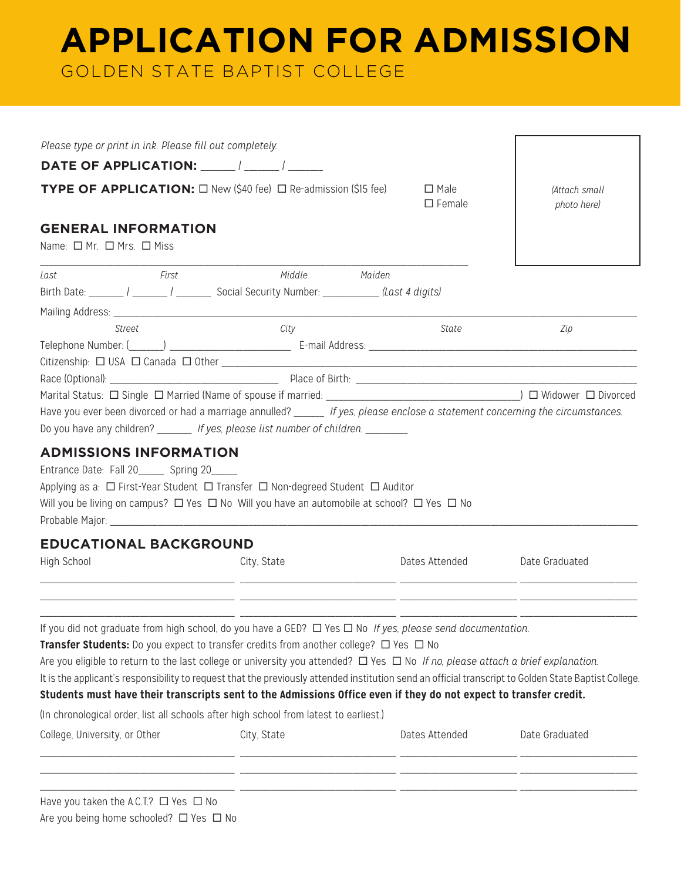# **APPLICATION FOR ADMISSION**

GOLDEN STATE BAPTIST COLLEGE

| Please type or print in ink. Please fill out completely.                     |                                                                                                                                                                                                                                                                                                                                                                                                                                                                                             |                              |                                                                               |
|------------------------------------------------------------------------------|---------------------------------------------------------------------------------------------------------------------------------------------------------------------------------------------------------------------------------------------------------------------------------------------------------------------------------------------------------------------------------------------------------------------------------------------------------------------------------------------|------------------------------|-------------------------------------------------------------------------------|
| DATE OF APPLICATION: ______ / _____ / ______                                 |                                                                                                                                                                                                                                                                                                                                                                                                                                                                                             |                              |                                                                               |
|                                                                              | <b>TYPE OF APPLICATION:</b> $\Box$ New (\$40 fee) $\Box$ Re-admission (\$15 fee)                                                                                                                                                                                                                                                                                                                                                                                                            | $\Box$ Male<br>$\Box$ Female | (Attach small<br>photo here)                                                  |
| <b>GENERAL INFORMATION</b><br>Name: □ Mr. □ Mrs. □ Miss                      |                                                                                                                                                                                                                                                                                                                                                                                                                                                                                             |                              |                                                                               |
| First<br>Last                                                                | Middle<br>Maiden<br>Birth Date: _______ / ______ / _________ Social Security Number: ___________ (Last 4 digits)                                                                                                                                                                                                                                                                                                                                                                            |                              |                                                                               |
| Street                                                                       | City                                                                                                                                                                                                                                                                                                                                                                                                                                                                                        | State                        | Zip                                                                           |
|                                                                              |                                                                                                                                                                                                                                                                                                                                                                                                                                                                                             |                              |                                                                               |
|                                                                              |                                                                                                                                                                                                                                                                                                                                                                                                                                                                                             |                              |                                                                               |
|                                                                              | Have you ever been divorced or had a marriage annulled? _____ If yes, please enclose a statement concerning the circumstances.<br>Do you have any children? If yes, please list number of children.                                                                                                                                                                                                                                                                                         |                              |                                                                               |
| <b>ADMISSIONS INFORMATION</b><br>Entrance Date: Fall 20______ Spring 20_____ | Applying as a: □ First-Year Student □ Transfer □ Non-degreed Student □ Auditor<br>Will you be living on campus? $\Box$ Yes $\Box$ No Will you have an automobile at school? $\Box$ Yes $\Box$ No                                                                                                                                                                                                                                                                                            |                              |                                                                               |
| <b>EDUCATIONAL BACKGROUND</b>                                                |                                                                                                                                                                                                                                                                                                                                                                                                                                                                                             |                              |                                                                               |
| High School                                                                  | City, State<br><u> 1990 - Johann John Stone, mars and de British and de British and de British and de British and de British and</u>                                                                                                                                                                                                                                                                                                                                                        | Dates Attended               | Date Graduated<br><u> 1989 - Johann Stoff, amerikansk politiker (d. 1989)</u> |
|                                                                              | If you did not graduate from high school, do you have a GED? $\Box$ Yes $\Box$ No If yes, please send documentation.<br>Transfer Students: Do you expect to transfer credits from another college? □ Yes □ No<br>It is the applicant's responsibility to request that the previously attended institution send an official transcript to Golden State Baptist College.<br>Students must have their transcripts sent to the Admissions Office even if they do not expect to transfer credit. |                              |                                                                               |
|                                                                              | (In chronological order, list all schools after high school from latest to earliest.)                                                                                                                                                                                                                                                                                                                                                                                                       |                              |                                                                               |
| College, University, or Other                                                | City, State<br><u> Le production de la companyation de la companyation de la companyation de la companyation de la companyation d</u>                                                                                                                                                                                                                                                                                                                                                       | Dates Attended               | Date Graduated                                                                |
| Have you taken the A.C.T.? $\Box$ Yes $\Box$ No                              |                                                                                                                                                                                                                                                                                                                                                                                                                                                                                             |                              |                                                                               |

Are you being home schooled?  $\Box$  Yes  $\Box$  No